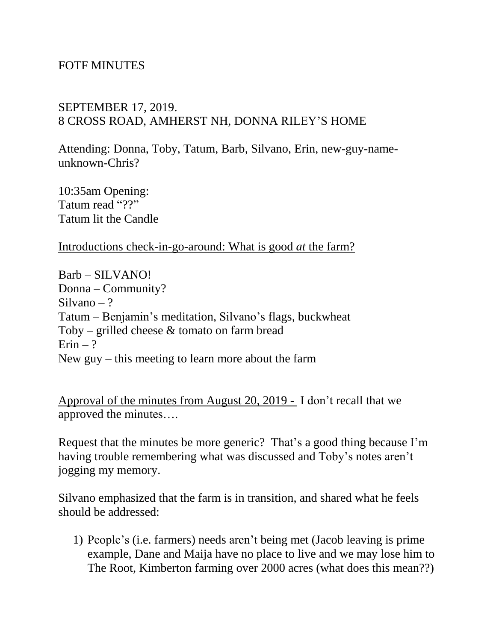## FOTF MINUTES

## SEPTEMBER 17, 2019. 8 CROSS ROAD, AMHERST NH, DONNA RILEY'S HOME

Attending: Donna, Toby, Tatum, Barb, Silvano, Erin, new-guy-nameunknown-Chris?

10:35am Opening: Tatum read "??" Tatum lit the Candle

Introductions check-in-go-around: What is good *at* the farm?

Barb – SILVANO! Donna – Community? Silvano – ? Tatum – Benjamin's meditation, Silvano's flags, buckwheat Toby – grilled cheese  $&$  tomato on farm bread  $Erin - ?$ New guy – this meeting to learn more about the farm

Approval of the minutes from August 20, 2019 - I don't recall that we approved the minutes….

Request that the minutes be more generic? That's a good thing because I'm having trouble remembering what was discussed and Toby's notes aren't jogging my memory.

Silvano emphasized that the farm is in transition, and shared what he feels should be addressed:

1) People's (i.e. farmers) needs aren't being met (Jacob leaving is prime example, Dane and Maija have no place to live and we may lose him to The Root, Kimberton farming over 2000 acres (what does this mean??)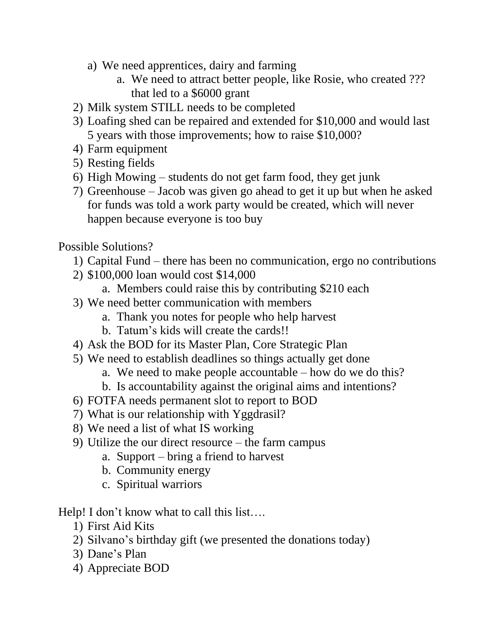- a) We need apprentices, dairy and farming
	- a. We need to attract better people, like Rosie, who created ??? that led to a \$6000 grant
- 2) Milk system STILL needs to be completed
- 3) Loafing shed can be repaired and extended for \$10,000 and would last 5 years with those improvements; how to raise \$10,000?
- 4) Farm equipment
- 5) Resting fields
- 6) High Mowing students do not get farm food, they get junk
- 7) Greenhouse Jacob was given go ahead to get it up but when he asked for funds was told a work party would be created, which will never happen because everyone is too buy

Possible Solutions?

- 1) Capital Fund there has been no communication, ergo no contributions
- 2) \$100,000 loan would cost \$14,000
	- a. Members could raise this by contributing \$210 each
- 3) We need better communication with members
	- a. Thank you notes for people who help harvest
	- b. Tatum's kids will create the cards!!
- 4) Ask the BOD for its Master Plan, Core Strategic Plan
- 5) We need to establish deadlines so things actually get done
	- a. We need to make people accountable how do we do this?
	- b. Is accountability against the original aims and intentions?
- 6) FOTFA needs permanent slot to report to BOD
- 7) What is our relationship with Yggdrasil?
- 8) We need a list of what IS working
- 9) Utilize the our direct resource the farm campus
	- a. Support bring a friend to harvest
	- b. Community energy
	- c. Spiritual warriors

Help! I don't know what to call this list....

- 1) First Aid Kits
- 2) Silvano's birthday gift (we presented the donations today)
- 3) Dane's Plan
- 4) Appreciate BOD